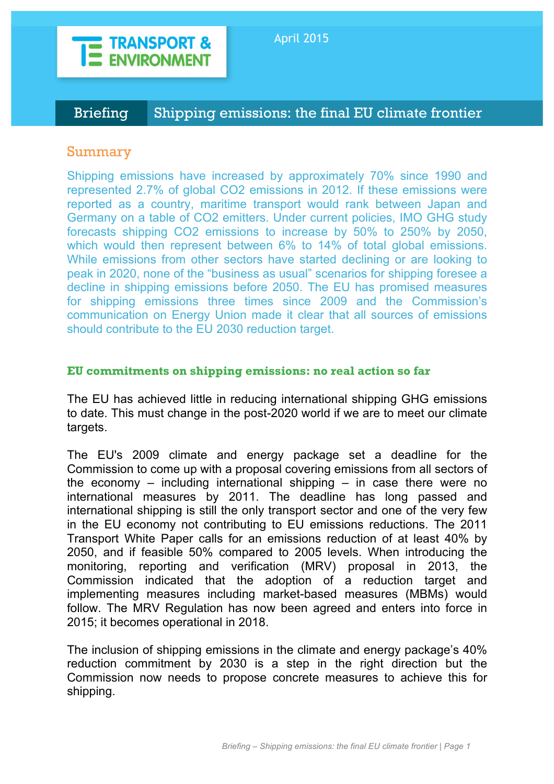

Briefing Shipping emissions: the final EU climate frontier

# Summary

Shipping emissions have increased by approximately 70% since 1990 and represented 2.7% of global CO2 emissions in 2012. If these emissions were reported as a country, maritime transport would rank between Japan and Germany on a table of CO2 emitters. Under current policies, IMO GHG study forecasts shipping CO2 emissions to increase by 50% to 250% by 2050, which would then represent between 6% to 14% of total global emissions. While emissions from other sectors have started declining or are looking to peak in 2020, none of the "business as usual" scenarios for shipping foresee a decline in shipping emissions before 2050. The EU has promised measures for shipping emissions three times since 2009 and the Commission's communication on Energy Union made it clear that all sources of emissions should contribute to the EU 2030 reduction target.

# **EU commitments on shipping emissions: no real action so far**

The EU has achieved little in reducing international shipping GHG emissions to date. This must change in the post-2020 world if we are to meet our climate targets.

The EU's 2009 climate and energy package set a deadline for the Commission to come up with a proposal covering emissions from all sectors of the economy – including international shipping – in case there were no international measures by 2011. The deadline has long passed and international shipping is still the only transport sector and one of the very few in the EU economy not contributing to EU emissions reductions. The 2011 Transport White Paper calls for an emissions reduction of at least 40% by 2050, and if feasible 50% compared to 2005 levels. When introducing the monitoring, reporting and verification (MRV) proposal in 2013, the Commission indicated that the adoption of a reduction target and implementing measures including market-based measures (MBMs) would follow. The MRV Regulation has now been agreed and enters into force in 2015; it becomes operational in 2018.

The inclusion of shipping emissions in the climate and energy package's 40% reduction commitment by 2030 is a step in the right direction but the Commission now needs to propose concrete measures to achieve this for shipping.